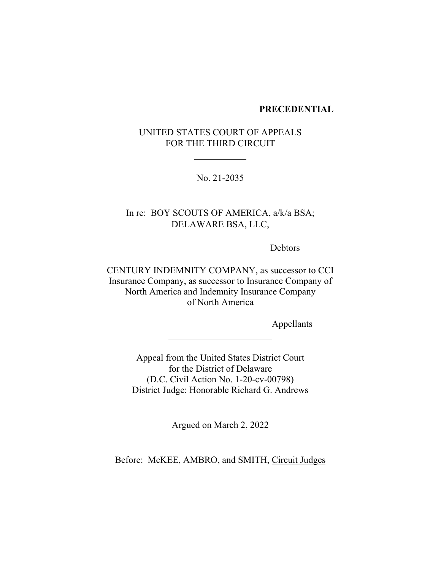### **PRECEDENTIAL**

UNITED STATES COURT OF APPEALS FOR THE THIRD CIRCUIT

No. 21-2035

In re: BOY SCOUTS OF AMERICA, a/k/a BSA; DELAWARE BSA, LLC,

Debtors

CENTURY INDEMNITY COMPANY, as successor to CCI Insurance Company, as successor to Insurance Company of North America and Indemnity Insurance Company of North America

Appellants

Appeal from the United States District Court for the District of Delaware (D.C. Civil Action No. 1-20-cv-00798) District Judge: Honorable Richard G. Andrews

Argued on March 2, 2022

Before: McKEE, AMBRO, and SMITH, Circuit Judges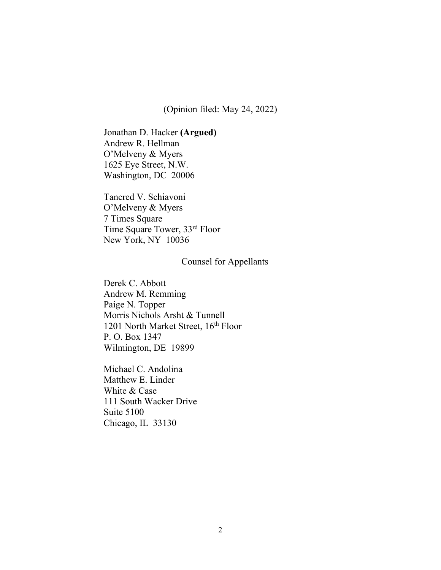(Opinion filed: May 24, 2022)

Jonathan D. Hacker **(Argued)** Andrew R. Hellman O'Melveny & Myers 1625 Eye Street, N.W. Washington, DC 20006

Tancred V. Schiavoni O'Melveny & Myers 7 Times Square Time Square Tower, 33rd Floor New York, NY 10036

## Counsel for Appellants

Derek C. Abbott Andrew M. Remming Paige N. Topper Morris Nichols Arsht & Tunnell 1201 North Market Street, 16<sup>th</sup> Floor P. O. Box 1347 Wilmington, DE 19899

Michael C. Andolina Matthew E. Linder White & Case 111 South Wacker Drive Suite 5100 Chicago, IL 33130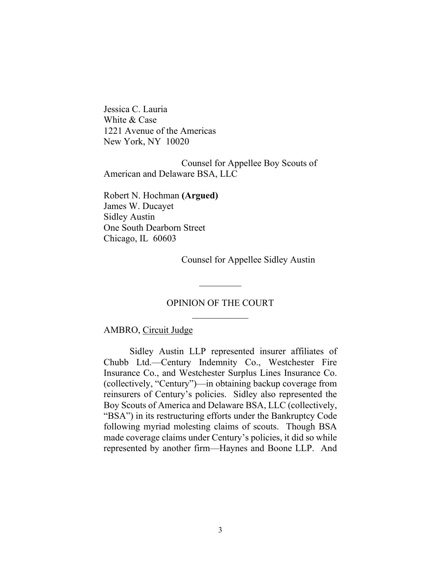Jessica C. Lauria White & Case 1221 Avenue of the Americas New York, NY 10020

Counsel for Appellee Boy Scouts of American and Delaware BSA, LLC

Robert N. Hochman **(Argued)** James W. Ducayet Sidley Austin One South Dearborn Street Chicago, IL 60603

Counsel for Appellee Sidley Austin

# OPINION OF THE COURT  $\overline{\phantom{a}}$  , where  $\overline{\phantom{a}}$

 $\frac{1}{2}$ 

### AMBRO, Circuit Judge

Sidley Austin LLP represented insurer affiliates of Chubb Ltd.—Century Indemnity Co., Westchester Fire Insurance Co., and Westchester Surplus Lines Insurance Co. (collectively, "Century")—in obtaining backup coverage from reinsurers of Century's policies. Sidley also represented the Boy Scouts of America and Delaware BSA, LLC (collectively, "BSA") in its restructuring efforts under the Bankruptcy Code following myriad molesting claims of scouts. Though BSA made coverage claims under Century's policies, it did so while represented by another firm—Haynes and Boone LLP. And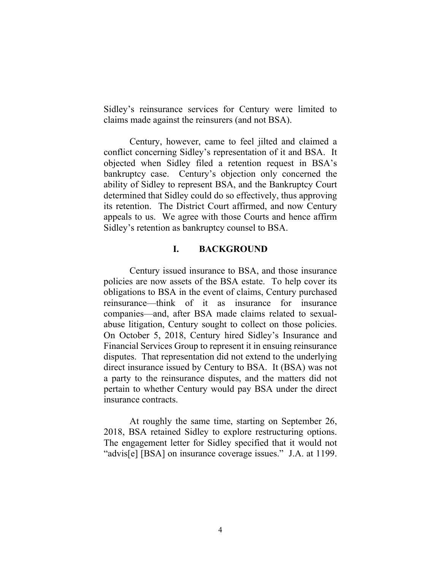Sidley's reinsurance services for Century were limited to claims made against the reinsurers (and not BSA).

Century, however, came to feel jilted and claimed a conflict concerning Sidley's representation of it and BSA. It objected when Sidley filed a retention request in BSA's bankruptcy case. Century's objection only concerned the ability of Sidley to represent BSA, and the Bankruptcy Court determined that Sidley could do so effectively, thus approving its retention. The District Court affirmed, and now Century appeals to us. We agree with those Courts and hence affirm Sidley's retention as bankruptcy counsel to BSA.

## **I. BACKGROUND**

Century issued insurance to BSA, and those insurance policies are now assets of the BSA estate. To help cover its obligations to BSA in the event of claims, Century purchased reinsurance—think of it as insurance for insurance companies—and, after BSA made claims related to sexualabuse litigation, Century sought to collect on those policies. On October 5, 2018, Century hired Sidley's Insurance and Financial Services Group to represent it in ensuing reinsurance disputes. That representation did not extend to the underlying direct insurance issued by Century to BSA. It (BSA) was not a party to the reinsurance disputes, and the matters did not pertain to whether Century would pay BSA under the direct insurance contracts.

At roughly the same time, starting on September 26, 2018, BSA retained Sidley to explore restructuring options. The engagement letter for Sidley specified that it would not "advis[e] [BSA] on insurance coverage issues." J.A. at 1199.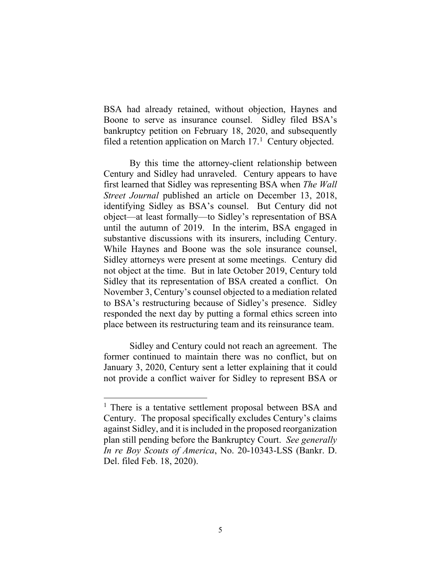BSA had already retained, without objection, Haynes and Boone to serve as insurance counsel. Sidley filed BSA's bankruptcy petition on February 18, 2020, and subsequently filed a retention application on March  $17<sup>1</sup>$  Century objected.

By this time the attorney-client relationship between Century and Sidley had unraveled. Century appears to have first learned that Sidley was representing BSA when *The Wall Street Journal* published an article on December 13, 2018, identifying Sidley as BSA's counsel. But Century did not object—at least formally—to Sidley's representation of BSA until the autumn of 2019. In the interim, BSA engaged in substantive discussions with its insurers, including Century. While Haynes and Boone was the sole insurance counsel, Sidley attorneys were present at some meetings. Century did not object at the time. But in late October 2019, Century told Sidley that its representation of BSA created a conflict. On November 3, Century's counsel objected to a mediation related to BSA's restructuring because of Sidley's presence. Sidley responded the next day by putting a formal ethics screen into place between its restructuring team and its reinsurance team.

Sidley and Century could not reach an agreement. The former continued to maintain there was no conflict, but on January 3, 2020, Century sent a letter explaining that it could not provide a conflict waiver for Sidley to represent BSA or

<sup>&</sup>lt;sup>1</sup> There is a tentative settlement proposal between BSA and Century. The proposal specifically excludes Century's claims against Sidley, and it is included in the proposed reorganization plan still pending before the Bankruptcy Court.*See generally In re Boy Scouts of America*, No. 20-10343-LSS (Bankr. D. Del. filed Feb. 18, 2020).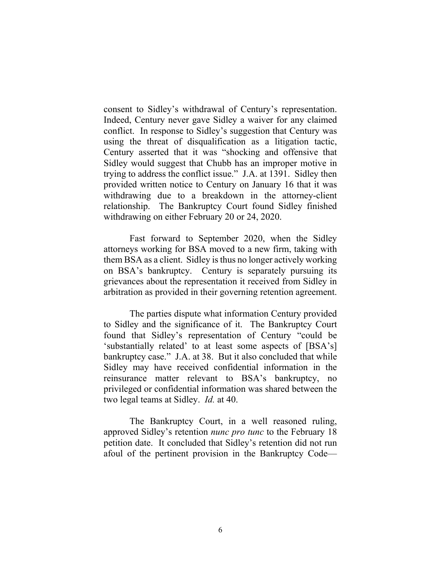consent to Sidley's withdrawal of Century's representation. Indeed, Century never gave Sidley a waiver for any claimed conflict. In response to Sidley's suggestion that Century was using the threat of disqualification as a litigation tactic, Century asserted that it was "shocking and offensive that Sidley would suggest that Chubb has an improper motive in trying to address the conflict issue." J.A. at 1391. Sidley then provided written notice to Century on January 16 that it was withdrawing due to a breakdown in the attorney-client relationship. The Bankruptcy Court found Sidley finished withdrawing on either February 20 or 24, 2020.

Fast forward to September 2020, when the Sidley attorneys working for BSA moved to a new firm, taking with them BSA as a client. Sidley is thus no longer actively working on BSA's bankruptcy. Century is separately pursuing its grievances about the representation it received from Sidley in arbitration as provided in their governing retention agreement.

The parties dispute what information Century provided to Sidley and the significance of it. The Bankruptcy Court found that Sidley's representation of Century "could be 'substantially related' to at least some aspects of [BSA's] bankruptcy case." J.A. at 38. But it also concluded that while Sidley may have received confidential information in the reinsurance matter relevant to BSA's bankruptcy, no privileged or confidential information was shared between the two legal teams at Sidley. *Id.* at 40.

The Bankruptcy Court, in a well reasoned ruling, approved Sidley's retention *nunc pro tunc* to the February 18 petition date. It concluded that Sidley's retention did not run afoul of the pertinent provision in the Bankruptcy Code—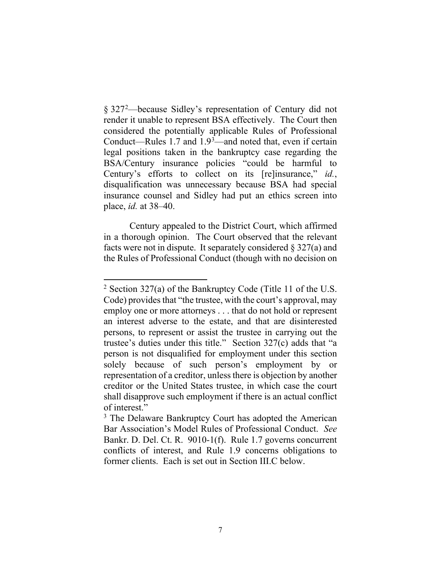§ 327<sup>2</sup>—because Sidley's representation of Century did not render it unable to represent BSA effectively. The Court then considered the potentially applicable Rules of Professional Conduct—Rules 1.7 and  $1.9<sup>3</sup>$ —and noted that, even if certain legal positions taken in the bankruptcy case regarding the BSA/Century insurance policies "could be harmful to Century's efforts to collect on its [re]insurance," *id.*, disqualification was unnecessary because BSA had special insurance counsel and Sidley had put an ethics screen into place, *id.* at 38–40.

Century appealed to the District Court, which affirmed in a thorough opinion. The Court observed that the relevant facts were not in dispute.It separately considered § 327(a) and the Rules of Professional Conduct (though with no decision on

<sup>&</sup>lt;sup>2</sup> Section 327(a) of the Bankruptcy Code (Title 11 of the U.S. Code) provides that "the trustee, with the court's approval, may employ one or more attorneys . . . that do not hold or represent an interest adverse to the estate, and that are disinterested persons, to represent or assist the trustee in carrying out the trustee's duties under this title." Section 327(c) adds that "a person is not disqualified for employment under this section solely because of such person's employment by or representation of a creditor, unless there is objection by another creditor or the United States trustee, in which case the court shall disapprove such employment if there is an actual conflict of interest."

<sup>&</sup>lt;sup>3</sup> The Delaware Bankruptcy Court has adopted the American Bar Association's Model Rules of Professional Conduct. *See*  Bankr. D. Del. Ct. R. 9010-1(f). Rule 1.7 governs concurrent conflicts of interest, and Rule 1.9 concerns obligations to former clients. Each is set out in Section III.C below.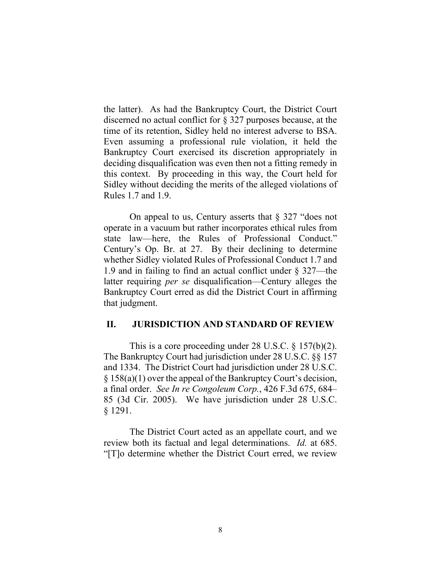the latter). As had the Bankruptcy Court, the District Court discerned no actual conflict for § 327 purposes because, at the time of its retention, Sidley held no interest adverse to BSA. Even assuming a professional rule violation, it held the Bankruptcy Court exercised its discretion appropriately in deciding disqualification was even then not a fitting remedy in this context. By proceeding in this way, the Court held for Sidley without deciding the merits of the alleged violations of Rules 1.7 and 1.9.

On appeal to us, Century asserts that  $\S 327$  "does not operate in a vacuum but rather incorporates ethical rules from state law—here, the Rules of Professional Conduct." Century's Op. Br. at 27. By their declining to determine whether Sidley violated Rules of Professional Conduct 1.7 and 1.9 and in failing to find an actual conflict under § 327—the latter requiring *per se* disqualification—Century alleges the Bankruptcy Court erred as did the District Court in affirming that judgment.

## **II. JURISDICTION AND STANDARD OF REVIEW**

This is a core proceeding under 28 U.S.C. § 157(b)(2). The Bankruptcy Court had jurisdiction under 28 U.S.C. §§ 157 and 1334. The District Court had jurisdiction under 28 U.S.C. § 158(a)(1) over the appeal of the Bankruptcy Court's decision, a final order. *See In re Congoleum Corp.*, 426 F.3d 675, 684– 85 (3d Cir. 2005). We have jurisdiction under 28 U.S.C. § 1291.

The District Court acted as an appellate court, and we review both its factual and legal determinations. *Id.* at 685. "[T]o determine whether the District Court erred, we review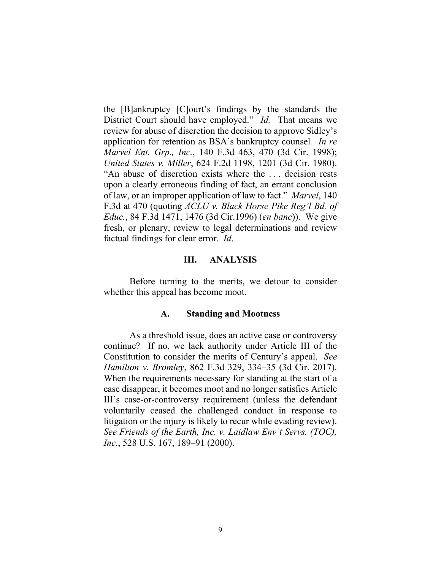the [B]ankruptcy [C]ourt's findings by the standards the District Court should have employed." *Id.* That means we review for abuse of discretion the decision to approve Sidley's application for retention as BSA's bankruptcy counsel*. In re Marvel Ent. Grp., Inc.*, 140 F.3d 463, 470 (3d Cir. 1998); *United States v. Miller*, 624 F.2d 1198, 1201 (3d Cir. 1980). "An abuse of discretion exists where the . . . decision rests upon a clearly erroneous finding of fact, an errant conclusion of law, or an improper application of law to fact." *Marvel*, 140 F.3d at 470 (quoting *ACLU v. Black Horse Pike Reg'l Bd. of Educ.*, 84 F.3d 1471, 1476 (3d Cir.1996) (*en banc*)). We give fresh, or plenary, review to legal determinations and review factual findings for clear error. *Id*.

#### **III. ANALYSIS**

Before turning to the merits, we detour to consider whether this appeal has become moot.

### **A. Standing and Mootness**

As a threshold issue, does an active case or controversy continue? If no, we lack authority under Article III of the Constitution to consider the merits of Century's appeal. *See Hamilton v. Bromley*, 862 F.3d 329, 334–35 (3d Cir. 2017). When the requirements necessary for standing at the start of a case disappear, it becomes moot and no longer satisfies Article III's case-or-controversy requirement (unless the defendant voluntarily ceased the challenged conduct in response to litigation or the injury is likely to recur while evading review). *See Friends of the Earth, Inc. v. Laidlaw Env't Servs. (TOC), Inc.*, 528 U.S. 167, 189–91 (2000).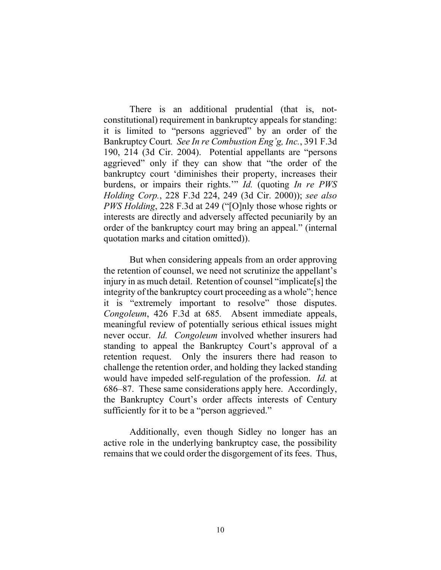There is an additional prudential (that is, notconstitutional) requirement in bankruptcy appeals for standing: it is limited to "persons aggrieved" by an order of the Bankruptcy Court*. See In re Combustion Eng'g, Inc.*, 391 F.3d 190, 214 (3d Cir. 2004). Potential appellants are "persons aggrieved" only if they can show that "the order of the bankruptcy court 'diminishes their property, increases their burdens, or impairs their rights.'" *Id.* (quoting *In re PWS Holding Corp.*, 228 F.3d 224, 249 (3d Cir. 2000)); *see also PWS Holding*, 228 F.3d at 249 ("[O]nly those whose rights or interests are directly and adversely affected pecuniarily by an order of the bankruptcy court may bring an appeal." (internal quotation marks and citation omitted)).

But when considering appeals from an order approving the retention of counsel, we need not scrutinize the appellant's injury in as much detail. Retention of counsel "implicate[s] the integrity of the bankruptcy court proceeding as a whole"; hence it is "extremely important to resolve" those disputes. *Congoleum*, 426 F.3d at 685*.* Absent immediate appeals, meaningful review of potentially serious ethical issues might never occur. *Id. Congoleum* involved whether insurers had standing to appeal the Bankruptcy Court's approval of a retention request. Only the insurers there had reason to challenge the retention order, and holding they lacked standing would have impeded self-regulation of the profession. *Id.* at 686–87. These same considerations apply here. Accordingly, the Bankruptcy Court's order affects interests of Century sufficiently for it to be a "person aggrieved."

Additionally, even though Sidley no longer has an active role in the underlying bankruptcy case, the possibility remains that we could order the disgorgement of its fees. Thus,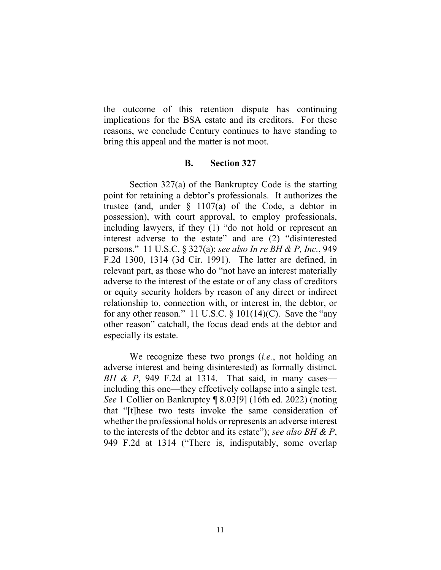the outcome of this retention dispute has continuing implications for the BSA estate and its creditors. For these reasons, we conclude Century continues to have standing to bring this appeal and the matter is not moot.

### **B. Section 327**

Section 327(a) of the Bankruptcy Code is the starting point for retaining a debtor's professionals. It authorizes the trustee (and, under  $\frac{1107}{a}$  of the Code, a debtor in possession), with court approval, to employ professionals, including lawyers, if they (1) "do not hold or represent an interest adverse to the estate" and are (2) "disinterested persons." 11 U.S.C. § 327(a); *see also In re BH & P, Inc.*, 949 F.2d 1300, 1314 (3d Cir. 1991). The latter are defined, in relevant part, as those who do "not have an interest materially adverse to the interest of the estate or of any class of creditors or equity security holders by reason of any direct or indirect relationship to, connection with, or interest in, the debtor, or for any other reason." 11 U.S.C.  $\S 101(14)(C)$ . Save the "any other reason" catchall, the focus dead ends at the debtor and especially its estate.

We recognize these two prongs (*i.e.*, not holding an adverse interest and being disinterested) as formally distinct. *BH & P*, 949 F.2d at 1314. That said, in many cases including this one—they effectively collapse into a single test. *See* 1 Collier on Bankruptcy ¶ 8.03[9] (16th ed. 2022) (noting that "[t]hese two tests invoke the same consideration of whether the professional holds or represents an adverse interest to the interests of the debtor and its estate"); *see also BH & P*, 949 F.2d at 1314 ("There is, indisputably, some overlap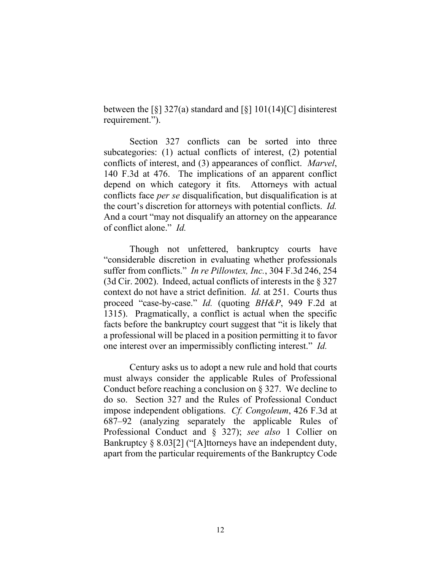between the  $\lceil \xi \rceil$  327(a) standard and  $\lceil \xi \rceil$  101(14)[C] disinterest requirement.").

Section 327 conflicts can be sorted into three subcategories: (1) actual conflicts of interest, (2) potential conflicts of interest, and (3) appearances of conflict. *Marvel*, 140 F.3d at 476. The implications of an apparent conflict depend on which category it fits. Attorneys with actual conflicts face *per se* disqualification, but disqualification is at the court's discretion for attorneys with potential conflicts. *Id.* And a court "may not disqualify an attorney on the appearance of conflict alone." *Id.*

Though not unfettered, bankruptcy courts have "considerable discretion in evaluating whether professionals suffer from conflicts." *In re Pillowtex, Inc.*, 304 F.3d 246, 254 (3d Cir. 2002). Indeed, actual conflicts of interests in the § 327 context do not have a strict definition. *Id.* at 251. Courts thus proceed "case-by-case." *Id.* (quoting *BH&P*, 949 F.2d at 1315). Pragmatically, a conflict is actual when the specific facts before the bankruptcy court suggest that "it is likely that a professional will be placed in a position permitting it to favor one interest over an impermissibly conflicting interest." *Id.*

Century asks us to adopt a new rule and hold that courts must always consider the applicable Rules of Professional Conduct before reaching a conclusion on  $\S 327$ . We decline to do so. Section 327 and the Rules of Professional Conduct impose independent obligations. *Cf. Congoleum*, 426 F.3d at 687–92 (analyzing separately the applicable Rules of Professional Conduct and § 327); *see also* 1 Collier on Bankruptcy § 8.03[2] ("[A]ttorneys have an independent duty, apart from the particular requirements of the Bankruptcy Code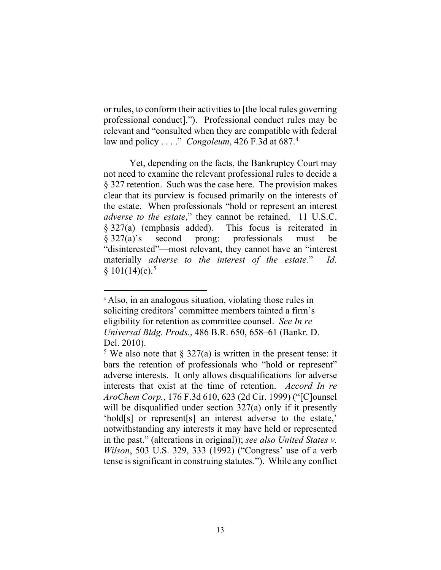or rules, to conform their activities to [the local rules governing professional conduct]."). Professional conduct rules may be relevant and "consulted when they are compatible with federal law and policy . . . ." *Congoleum*, 426 F.3d at 687.4

Yet, depending on the facts, the Bankruptcy Court may not need to examine the relevant professional rules to decide a § 327 retention. Such was the case here. The provision makes clear that its purview is focused primarily on the interests of the estate. When professionals "hold or represent an interest *adverse to the estate*," they cannot be retained. 11 U.S.C. § 327(a) (emphasis added). This focus is reiterated in § 327(a)'s second prong: professionals must be "disinterested"—most relevant, they cannot have an "interest materially *adverse to the interest of the estate.*" *Id.*  $§ 101(14)(c).$ <sup>5</sup>

<sup>4</sup> Also, in an analogous situation, violating those rules in soliciting creditors' committee members tainted a firm's eligibility for retention as committee counsel. *See In re Universal Bldg. Prods.*, 486 B.R. 650, 658–61 (Bankr. D. Del. 2010).

<sup>&</sup>lt;sup>5</sup> We also note that § 327(a) is written in the present tense: it bars the retention of professionals who "hold or represent" adverse interests. It only allows disqualifications for adverse interests that exist at the time of retention. *Accord In re AroChem Corp.*, 176 F.3d 610, 623 (2d Cir. 1999) ("[C]ounsel will be disqualified under section 327(a) only if it presently 'hold[s] or represent[s] an interest adverse to the estate,' notwithstanding any interests it may have held or represented in the past." (alterations in original)); *see also United States v. Wilson*, 503 U.S. 329, 333 (1992) ("Congress' use of a verb tense is significant in construing statutes."). While any conflict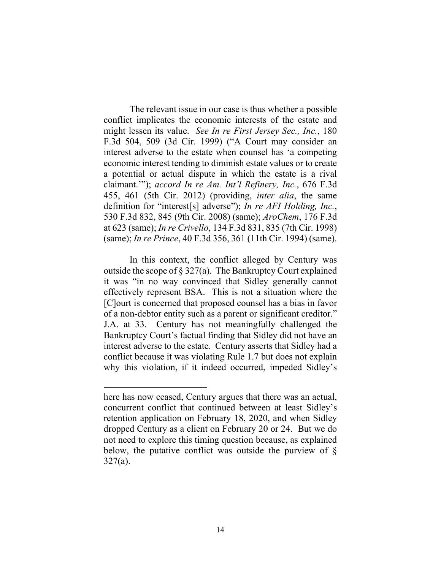The relevant issue in our case is thus whether a possible conflict implicates the economic interests of the estate and might lessen its value. *See In re First Jersey Sec., Inc.*, 180 F.3d 504, 509 (3d Cir. 1999) ("A Court may consider an interest adverse to the estate when counsel has 'a competing economic interest tending to diminish estate values or to create a potential or actual dispute in which the estate is a rival claimant.'"); *accord In re Am. Int'l Refinery, Inc.*, 676 F.3d 455, 461 (5th Cir. 2012) (providing, *inter alia*, the same definition for "interest[s] adverse"); *In re AFI Holding, Inc.*, 530 F.3d 832, 845 (9th Cir. 2008) (same); *AroChem*, 176 F.3d at 623 (same); *In re Crivello*, 134 F.3d 831, 835 (7th Cir. 1998) (same); *In re Prince*, 40 F.3d 356, 361 (11th Cir. 1994) (same).

In this context, the conflict alleged by Century was outside the scope of  $\S 327(a)$ . The Bankruptcy Court explained it was "in no way convinced that Sidley generally cannot effectively represent BSA. This is not a situation where the [C]ourt is concerned that proposed counsel has a bias in favor of a non-debtor entity such as a parent or significant creditor." J.A. at 33. Century has not meaningfully challenged the Bankruptcy Court's factual finding that Sidley did not have an interest adverse to the estate. Century asserts that Sidley had a conflict because it was violating Rule 1.7 but does not explain why this violation, if it indeed occurred, impeded Sidley's

here has now ceased, Century argues that there was an actual, concurrent conflict that continued between at least Sidley's retention application on February 18, 2020, and when Sidley dropped Century as a client on February 20 or 24. But we do not need to explore this timing question because, as explained below, the putative conflict was outside the purview of § 327(a).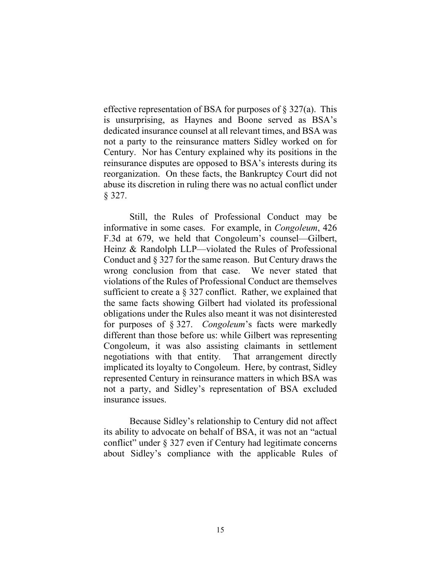effective representation of BSA for purposes of  $\S 327(a)$ . This is unsurprising, as Haynes and Boone served as BSA's dedicated insurance counsel at all relevant times, and BSA was not a party to the reinsurance matters Sidley worked on for Century. Nor has Century explained why its positions in the reinsurance disputes are opposed to BSA's interests during its reorganization. On these facts, the Bankruptcy Court did not abuse its discretion in ruling there was no actual conflict under § 327.

Still, the Rules of Professional Conduct may be informative in some cases. For example, in *Congoleum*, 426 F.3d at 679, we held that Congoleum's counsel—Gilbert, Heinz & Randolph LLP—violated the Rules of Professional Conduct and § 327 for the same reason. But Century draws the wrong conclusion from that case. We never stated that violations of the Rules of Professional Conduct are themselves sufficient to create a § 327 conflict. Rather, we explained that the same facts showing Gilbert had violated its professional obligations under the Rules also meant it was not disinterested for purposes of § 327. *Congoleum*'s facts were markedly different than those before us: while Gilbert was representing Congoleum, it was also assisting claimants in settlement negotiations with that entity*.* That arrangement directly implicated its loyalty to Congoleum. Here, by contrast, Sidley represented Century in reinsurance matters in which BSA was not a party, and Sidley's representation of BSA excluded insurance issues.

Because Sidley's relationship to Century did not affect its ability to advocate on behalf of BSA, it was not an "actual conflict" under § 327 even if Century had legitimate concerns about Sidley's compliance with the applicable Rules of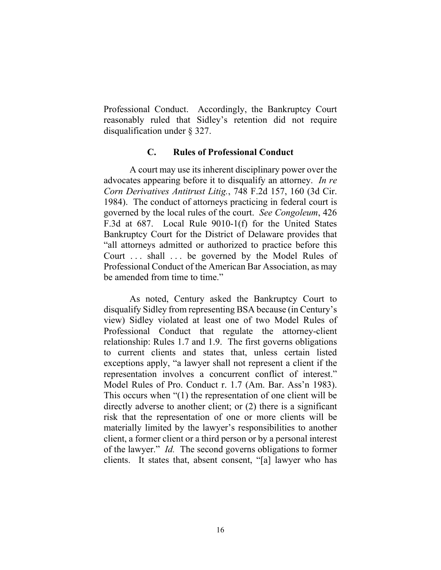Professional Conduct. Accordingly, the Bankruptcy Court reasonably ruled that Sidley's retention did not require disqualification under § 327.

## **C. Rules of Professional Conduct**

A court may use its inherent disciplinary power over the advocates appearing before it to disqualify an attorney. *In re Corn Derivatives Antitrust Litig.*, 748 F.2d 157, 160 (3d Cir. 1984). The conduct of attorneys practicing in federal court is governed by the local rules of the court. *See Congoleum*, 426 F.3d at 687. Local Rule 9010-1(f) for the United States Bankruptcy Court for the District of Delaware provides that "all attorneys admitted or authorized to practice before this Court ... shall ... be governed by the Model Rules of Professional Conduct of the American Bar Association, as may be amended from time to time."

As noted, Century asked the Bankruptcy Court to disqualify Sidley from representing BSA because (in Century's view) Sidley violated at least one of two Model Rules of Professional Conduct that regulate the attorney-client relationship: Rules 1.7 and 1.9. The first governs obligations to current clients and states that, unless certain listed exceptions apply, "a lawyer shall not represent a client if the representation involves a concurrent conflict of interest." Model Rules of Pro. Conduct r. 1.7 (Am. Bar. Ass'n 1983). This occurs when "(1) the representation of one client will be directly adverse to another client; or (2) there is a significant risk that the representation of one or more clients will be materially limited by the lawyer's responsibilities to another client, a former client or a third person or by a personal interest of the lawyer." *Id.* The second governs obligations to former clients. It states that, absent consent, "[a] lawyer who has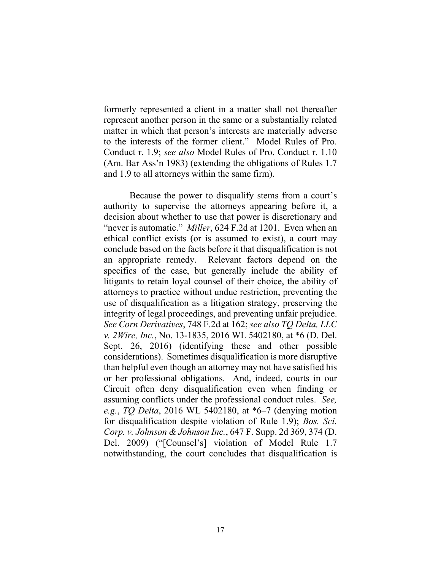formerly represented a client in a matter shall not thereafter represent another person in the same or a substantially related matter in which that person's interests are materially adverse to the interests of the former client." Model Rules of Pro. Conduct r. 1.9; *see also* Model Rules of Pro. Conduct r. 1.10 (Am. Bar Ass'n 1983) (extending the obligations of Rules 1.7 and 1.9 to all attorneys within the same firm).

Because the power to disqualify stems from a court's authority to supervise the attorneys appearing before it, a decision about whether to use that power is discretionary and "never is automatic." *Miller*, 624 F.2d at 1201. Even when an ethical conflict exists (or is assumed to exist), a court may conclude based on the facts before it that disqualification is not an appropriate remedy. Relevant factors depend on the specifics of the case, but generally include the ability of litigants to retain loyal counsel of their choice, the ability of attorneys to practice without undue restriction, preventing the use of disqualification as a litigation strategy, preserving the integrity of legal proceedings, and preventing unfair prejudice. *See Corn Derivatives*, 748 F.2d at 162; *see also TQ Delta, LLC v. 2Wire, Inc.*, No. 13-1835, 2016 WL 5402180, at \*6 (D. Del. Sept. 26, 2016) (identifying these and other possible considerations). Sometimes disqualification is more disruptive than helpful even though an attorney may not have satisfied his or her professional obligations. And, indeed, courts in our Circuit often deny disqualification even when finding or assuming conflicts under the professional conduct rules. *See, e.g.*, *TQ Delta*, 2016 WL 5402180, at \*6–7 (denying motion for disqualification despite violation of Rule 1.9); *Bos. Sci. Corp. v. Johnson & Johnson Inc.*, 647 F. Supp. 2d 369, 374 (D. Del. 2009) ("[Counsel's] violation of Model Rule 1.7 notwithstanding, the court concludes that disqualification is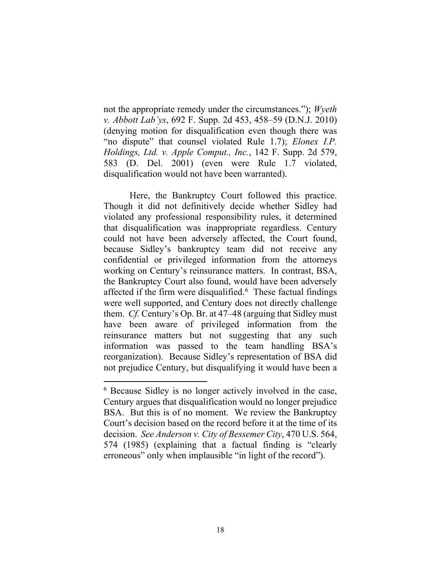not the appropriate remedy under the circumstances."); *Wyeth v. Abbott Lab'ys*, 692 F. Supp. 2d 453, 458–59 (D.N.J. 2010) (denying motion for disqualification even though there was "no dispute" that counsel violated Rule 1.7); *Elonex I.P. Holdings, Ltd. v. Apple Comput., Inc.*, 142 F. Supp. 2d 579, 583 (D. Del. 2001) (even were Rule 1.7 violated, disqualification would not have been warranted).

Here, the Bankruptcy Court followed this practice. Though it did not definitively decide whether Sidley had violated any professional responsibility rules, it determined that disqualification was inappropriate regardless. Century could not have been adversely affected, the Court found, because Sidley's bankruptcy team did not receive any confidential or privileged information from the attorneys working on Century's reinsurance matters. In contrast, BSA, the Bankruptcy Court also found, would have been adversely affected if the firm were disqualified. $6$  These factual findings were well supported, and Century does not directly challenge them. *Cf.* Century's Op. Br. at 47–48 (arguing that Sidley must have been aware of privileged information from the reinsurance matters but not suggesting that any such information was passed to the team handling BSA's reorganization). Because Sidley's representation of BSA did not prejudice Century, but disqualifying it would have been a

<sup>6</sup> Because Sidley is no longer actively involved in the case, Century argues that disqualification would no longer prejudice BSA. But this is of no moment. We review the Bankruptcy Court's decision based on the record before it at the time of its decision. *See Anderson v. City of Bessemer City*, 470 U.S. 564, 574 (1985) (explaining that a factual finding is "clearly erroneous" only when implausible "in light of the record").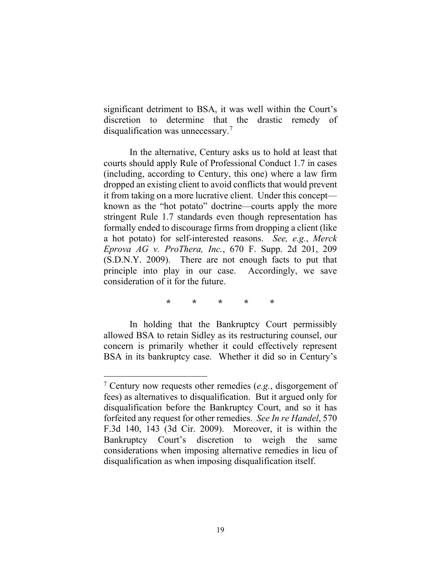significant detriment to BSA, it was well within the Court's discretion to determine that the drastic remedy of disqualification was unnecessary. 7

In the alternative, Century asks us to hold at least that courts should apply Rule of Professional Conduct 1.7 in cases (including, according to Century, this one) where a law firm dropped an existing client to avoid conflicts that would prevent it from taking on a more lucrative client. Under this concept known as the "hot potato" doctrine—courts apply the more stringent Rule 1.7 standards even though representation has formally ended to discourage firms from dropping a client (like a hot potato) for self-interested reasons. *See, e.g.*, *Merck Eprova AG v. ProThera, Inc.*, 670 F. Supp. 2d 201, 209 (S.D.N.Y. 2009). There are not enough facts to put that principle into play in our case. Accordingly, we save consideration of it for the future.

**\* \* \* \* \***

In holding that the Bankruptcy Court permissibly allowed BSA to retain Sidley as its restructuring counsel, our concern is primarily whether it could effectively represent BSA in its bankruptcy case. Whether it did so in Century's

<sup>7</sup> Century now requests other remedies (*e.g.*, disgorgement of fees) as alternatives to disqualification. But it argued only for disqualification before the Bankruptcy Court, and so it has forfeited any request for other remedies. *See In re Handel*, 570 F.3d 140, 143 (3d Cir. 2009). Moreover, it is within the Bankruptcy Court's discretion to weigh the same considerations when imposing alternative remedies in lieu of disqualification as when imposing disqualification itself.